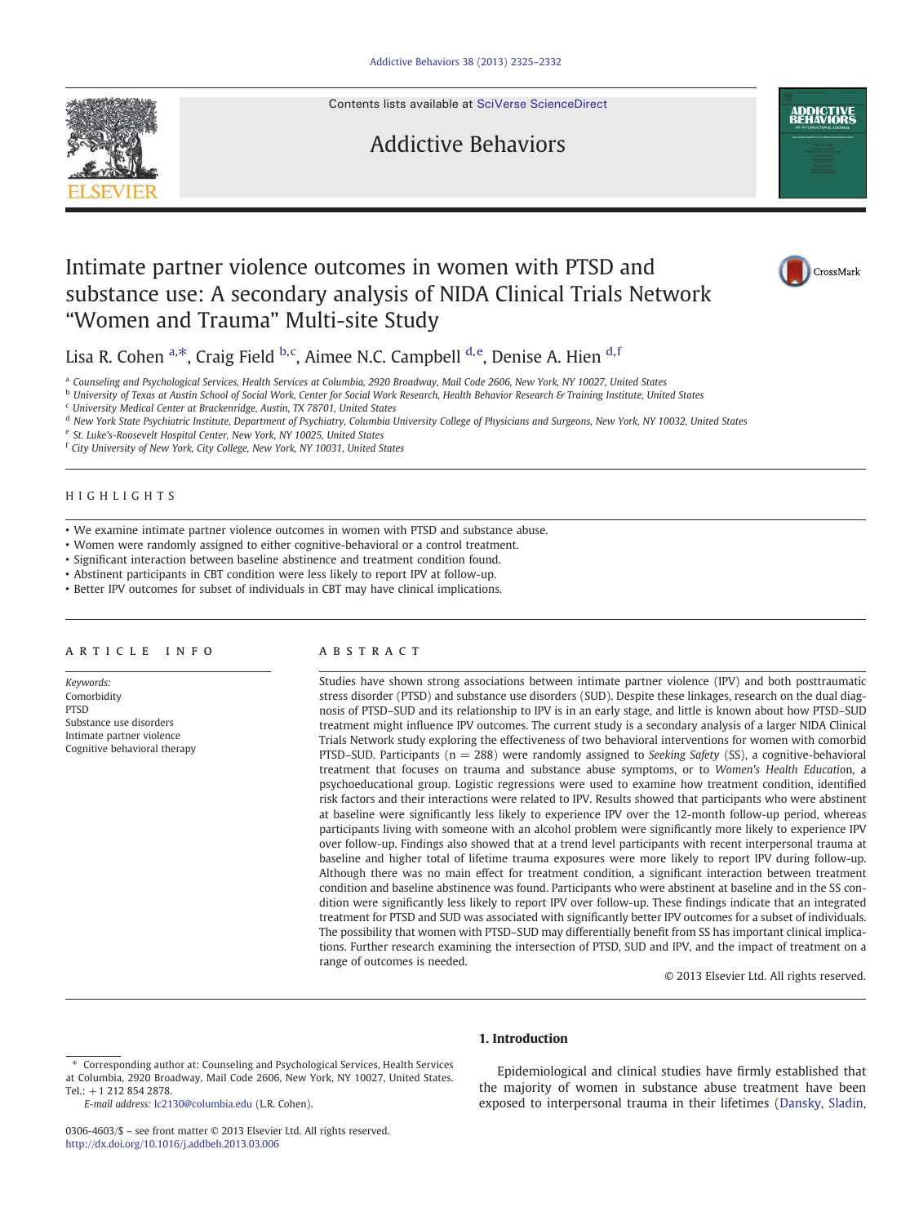Contents lists available at [SciVerse ScienceDirect](http://www.sciencedirect.com/science/journal/03064603)

# Addictive Behaviors



**ADDICTIVE**<br>REHAVIORS

# Intimate partner violence outcomes in women with PTSD and substance use: A secondary analysis of NIDA Clinical Trials Network "Women and Trauma" Multi-site Study

Lisa R. Cohen <sup>a,\*</sup>, Craig Field <sup>b,c</sup>, Aimee N.C. Campbell <sup>d,e</sup>, Denise A. Hien <sup>d, f</sup>

<sup>a</sup> Counseling and Psychological Services, Health Services at Columbia, 2920 Broadway, Mail Code 2606, New York, NY 10027, United States

**b** University of Texas at Austin School of Social Work, Center for Social Work Research, Health Behavior Research & Training Institute, United States

<sup>c</sup> University Medical Center at Brackenridge, Austin, TX 78701, United States

<sup>d</sup> New York State Psychiatric Institute, Department of Psychiatry, Columbia University College of Physicians and Surgeons, New York, NY 10032, United States

<sup>e</sup> St. Luke's-Roosevelt Hospital Center, New York, NY 10025, United States

<sup>f</sup> City University of New York, City College, New York, NY 10031, United States

# HIGHLIGHTS

• We examine intimate partner violence outcomes in women with PTSD and substance abuse.

- Women were randomly assigned to either cognitive-behavioral or a control treatment.
- Significant interaction between baseline abstinence and treatment condition found.

• Abstinent participants in CBT condition were less likely to report IPV at follow-up.

• Better IPV outcomes for subset of individuals in CBT may have clinical implications.

#### article info abstract

Keywords: Comorbidity **PTSD** Substance use disorders Intimate partner violence Cognitive behavioral therapy

Studies have shown strong associations between intimate partner violence (IPV) and both posttraumatic stress disorder (PTSD) and substance use disorders (SUD). Despite these linkages, research on the dual diagnosis of PTSD–SUD and its relationship to IPV is in an early stage, and little is known about how PTSD–SUD treatment might influence IPV outcomes. The current study is a secondary analysis of a larger NIDA Clinical Trials Network study exploring the effectiveness of two behavioral interventions for women with comorbid PTSD–SUD. Participants ( $n = 288$ ) were randomly assigned to Seeking Safety (SS), a cognitive-behavioral treatment that focuses on trauma and substance abuse symptoms, or to Women's Health Education, a psychoeducational group. Logistic regressions were used to examine how treatment condition, identified risk factors and their interactions were related to IPV. Results showed that participants who were abstinent at baseline were significantly less likely to experience IPV over the 12-month follow-up period, whereas participants living with someone with an alcohol problem were significantly more likely to experience IPV over follow-up. Findings also showed that at a trend level participants with recent interpersonal trauma at baseline and higher total of lifetime trauma exposures were more likely to report IPV during follow-up. Although there was no main effect for treatment condition, a significant interaction between treatment condition and baseline abstinence was found. Participants who were abstinent at baseline and in the SS condition were significantly less likely to report IPV over follow-up. These findings indicate that an integrated treatment for PTSD and SUD was associated with significantly better IPV outcomes for a subset of individuals. The possibility that women with PTSD–SUD may differentially benefit from SS has important clinical implications. Further research examining the intersection of PTSD, SUD and IPV, and the impact of treatment on a range of outcomes is needed.

© 2013 Elsevier Ltd. All rights reserved.

#### 1. Introduction

Epidemiological and clinical studies have firmly established that the majority of women in substance abuse treatment have been exposed to interpersonal trauma in their lifetimes ([Dansky, Sladin,](#page-6-0)

<sup>⁎</sup> Corresponding author at: Counseling and Psychological Services, Health Services at Columbia, 2920 Broadway, Mail Code 2606, New York, NY 10027, United States. Tel.: +1 212 854 2878.

E-mail address: [lc2130@columbia.edu](mailto:lc2130@columbia.edu) (L.R. Cohen).

<sup>0306-4603/\$</sup> – see front matter © 2013 Elsevier Ltd. All rights reserved. <http://dx.doi.org/10.1016/j.addbeh.2013.03.006>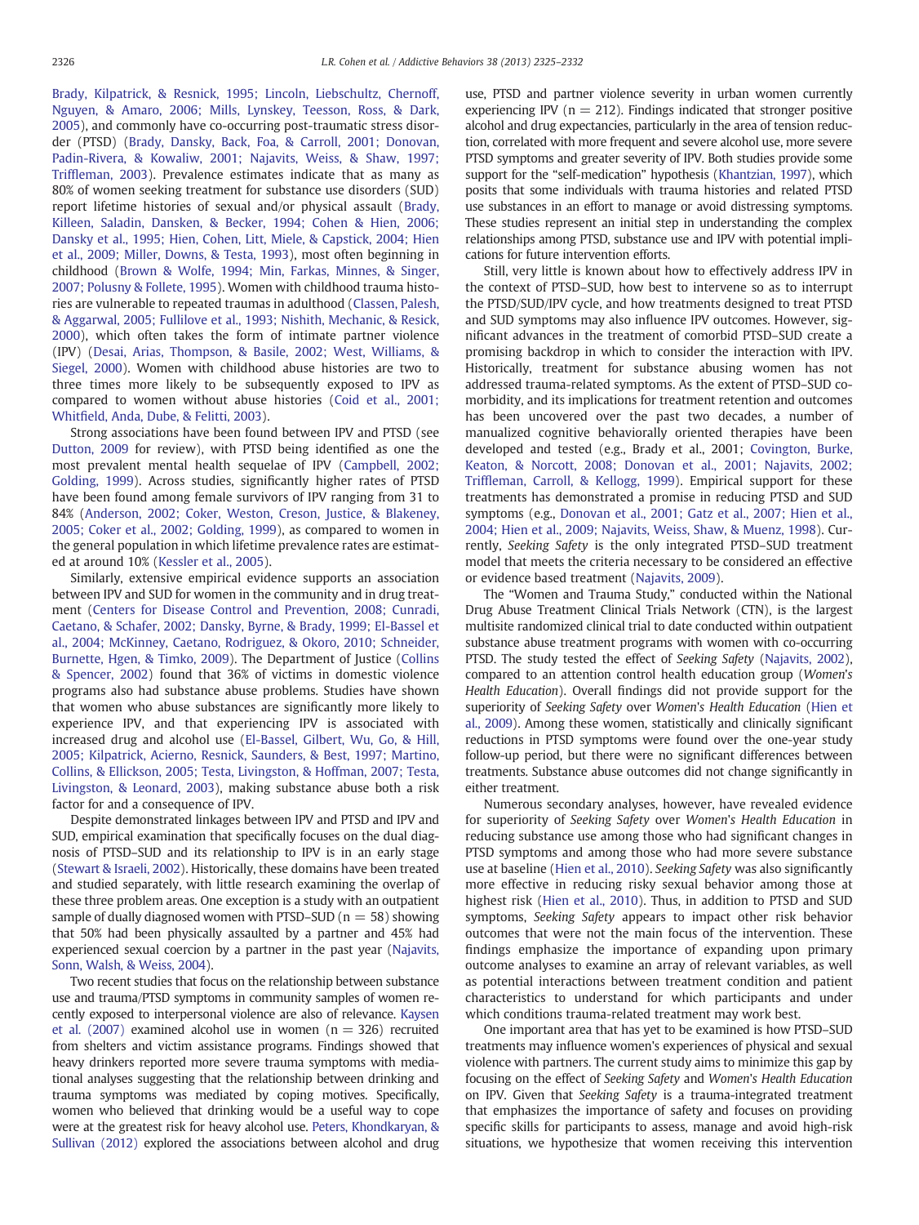[Brady, Kilpatrick, & Resnick, 1995; Lincoln, Liebschultz, Chernoff,](#page-6-0) [Nguyen, & Amaro, 2006; Mills, Lynskey, Teesson, Ross, & Dark,](#page-6-0) [2005\)](#page-6-0), and commonly have co-occurring post-traumatic stress disorder (PTSD) ([Brady, Dansky, Back, Foa, & Carroll, 2001; Donovan,](#page-6-0) [Padin-Rivera, & Kowaliw, 2001; Najavits, Weiss, & Shaw, 1997;](#page-6-0) Triffl[eman, 2003\)](#page-6-0). Prevalence estimates indicate that as many as 80% of women seeking treatment for substance use disorders (SUD) report lifetime histories of sexual and/or physical assault ([Brady,](#page-6-0) [Killeen, Saladin, Dansken, & Becker, 1994; Cohen & Hien, 2006;](#page-6-0) [Dansky et al., 1995; Hien, Cohen, Litt, Miele, & Capstick, 2004; Hien](#page-6-0) [et al., 2009; Miller, Downs, & Testa, 1993](#page-6-0)), most often beginning in childhood ([Brown & Wolfe, 1994; Min, Farkas, Minnes, & Singer,](#page-6-0) [2007; Polusny & Follete, 1995\)](#page-6-0). Women with childhood trauma histories are vulnerable to repeated traumas in adulthood ([Classen, Palesh,](#page-6-0) [& Aggarwal, 2005; Fullilove et al., 1993; Nishith, Mechanic, & Resick,](#page-6-0) [2000\)](#page-6-0), which often takes the form of intimate partner violence (IPV) ([Desai, Arias, Thompson, & Basile, 2002; West, Williams, &](#page-7-0) [Siegel, 2000](#page-7-0)). Women with childhood abuse histories are two to three times more likely to be subsequently exposed to IPV as compared to women without abuse histories ([Coid et al., 2001;](#page-6-0) Whitfi[eld, Anda, Dube, & Felitti, 2003\)](#page-6-0).

Strong associations have been found between IPV and PTSD (see [Dutton, 2009](#page-7-0) for review), with PTSD being identified as one the most prevalent mental health sequelae of IPV [\(Campbell, 2002;](#page-6-0) [Golding, 1999\)](#page-6-0). Across studies, significantly higher rates of PTSD have been found among female survivors of IPV ranging from 31 to 84% [\(Anderson, 2002; Coker, Weston, Creson, Justice, & Blakeney,](#page-6-0) [2005; Coker et al., 2002; Golding, 1999](#page-6-0)), as compared to women in the general population in which lifetime prevalence rates are estimated at around 10% ([Kessler et al., 2005\)](#page-7-0).

Similarly, extensive empirical evidence supports an association between IPV and SUD for women in the community and in drug treatment [\(Centers for Disease Control and Prevention, 2008; Cunradi,](#page-6-0) [Caetano, & Schafer, 2002; Dansky, Byrne, & Brady, 1999; El-Bassel et](#page-6-0) [al., 2004; McKinney, Caetano, Rodriguez, & Okoro, 2010; Schneider,](#page-6-0) [Burnette, Hgen, & Timko, 2009](#page-6-0)). The Department of Justice [\(Collins](#page-6-0) [& Spencer, 2002](#page-6-0)) found that 36% of victims in domestic violence programs also had substance abuse problems. Studies have shown that women who abuse substances are significantly more likely to experience IPV, and that experiencing IPV is associated with increased drug and alcohol use [\(El-Bassel, Gilbert, Wu, Go, & Hill,](#page-7-0) [2005; Kilpatrick, Acierno, Resnick, Saunders, & Best, 1997; Martino,](#page-7-0) [Collins, & Ellickson, 2005; Testa, Livingston, & Hoffman, 2007; Testa,](#page-7-0) [Livingston, & Leonard, 2003](#page-7-0)), making substance abuse both a risk factor for and a consequence of IPV.

Despite demonstrated linkages between IPV and PTSD and IPV and SUD, empirical examination that specifically focuses on the dual diagnosis of PTSD–SUD and its relationship to IPV is in an early stage [\(Stewart & Israeli, 2002\)](#page-7-0). Historically, these domains have been treated and studied separately, with little research examining the overlap of these three problem areas. One exception is a study with an outpatient sample of dually diagnosed women with PTSD–SUD ( $n = 58$ ) showing that 50% had been physically assaulted by a partner and 45% had experienced sexual coercion by a partner in the past year [\(Najavits,](#page-7-0) [Sonn, Walsh, & Weiss, 2004](#page-7-0)).

Two recent studies that focus on the relationship between substance use and trauma/PTSD symptoms in community samples of women recently exposed to interpersonal violence are also of relevance. [Kaysen](#page-7-0) [et al. \(2007\)](#page-7-0) examined alcohol use in women ( $n = 326$ ) recruited from shelters and victim assistance programs. Findings showed that heavy drinkers reported more severe trauma symptoms with mediational analyses suggesting that the relationship between drinking and trauma symptoms was mediated by coping motives. Specifically, women who believed that drinking would be a useful way to cope were at the greatest risk for heavy alcohol use. [Peters, Khondkaryan, &](#page-7-0) [Sullivan \(2012\)](#page-7-0) explored the associations between alcohol and drug use, PTSD and partner violence severity in urban women currently experiencing IPV ( $n = 212$ ). Findings indicated that stronger positive alcohol and drug expectancies, particularly in the area of tension reduction, correlated with more frequent and severe alcohol use, more severe PTSD symptoms and greater severity of IPV. Both studies provide some support for the "self-medication" hypothesis ([Khantzian, 1997](#page-7-0)), which posits that some individuals with trauma histories and related PTSD use substances in an effort to manage or avoid distressing symptoms. These studies represent an initial step in understanding the complex relationships among PTSD, substance use and IPV with potential implications for future intervention efforts.

Still, very little is known about how to effectively address IPV in the context of PTSD–SUD, how best to intervene so as to interrupt the PTSD/SUD/IPV cycle, and how treatments designed to treat PTSD and SUD symptoms may also influence IPV outcomes. However, significant advances in the treatment of comorbid PTSD–SUD create a promising backdrop in which to consider the interaction with IPV. Historically, treatment for substance abusing women has not addressed trauma-related symptoms. As the extent of PTSD–SUD comorbidity, and its implications for treatment retention and outcomes has been uncovered over the past two decades, a number of manualized cognitive behaviorally oriented therapies have been developed and tested (e.g., Brady et al., 2001; [Covington, Burke,](#page-6-0) [Keaton, & Norcott, 2008; Donovan et al., 2001; Najavits, 2002;](#page-6-0) Triffl[eman, Carroll, & Kellogg, 1999](#page-6-0)). Empirical support for these treatments has demonstrated a promise in reducing PTSD and SUD symptoms (e.g., [Donovan et al., 2001; Gatz et al., 2007; Hien et al.,](#page-7-0) [2004; Hien et al., 2009; Najavits, Weiss, Shaw, & Muenz, 1998](#page-7-0)). Currently, Seeking Safety is the only integrated PTSD–SUD treatment model that meets the criteria necessary to be considered an effective or evidence based treatment [\(Najavits, 2009\)](#page-7-0).

The "Women and Trauma Study," conducted within the National Drug Abuse Treatment Clinical Trials Network (CTN), is the largest multisite randomized clinical trial to date conducted within outpatient substance abuse treatment programs with women with co-occurring PTSD. The study tested the effect of Seeking Safety ([Najavits, 2002\)](#page-7-0), compared to an attention control health education group (Women's Health Education). Overall findings did not provide support for the superiority of Seeking Safety over Women's Health Education ([Hien et](#page-7-0) [al., 2009](#page-7-0)). Among these women, statistically and clinically significant reductions in PTSD symptoms were found over the one-year study follow-up period, but there were no significant differences between treatments. Substance abuse outcomes did not change significantly in either treatment.

Numerous secondary analyses, however, have revealed evidence for superiority of Seeking Safety over Women's Health Education in reducing substance use among those who had significant changes in PTSD symptoms and among those who had more severe substance use at baseline ([Hien et al., 2010\)](#page-7-0). Seeking Safety was also significantly more effective in reducing risky sexual behavior among those at highest risk ([Hien et al., 2010\)](#page-7-0). Thus, in addition to PTSD and SUD symptoms, Seeking Safety appears to impact other risk behavior outcomes that were not the main focus of the intervention. These findings emphasize the importance of expanding upon primary outcome analyses to examine an array of relevant variables, as well as potential interactions between treatment condition and patient characteristics to understand for which participants and under which conditions trauma-related treatment may work best.

One important area that has yet to be examined is how PTSD–SUD treatments may influence women's experiences of physical and sexual violence with partners. The current study aims to minimize this gap by focusing on the effect of Seeking Safety and Women's Health Education on IPV. Given that Seeking Safety is a trauma-integrated treatment that emphasizes the importance of safety and focuses on providing specific skills for participants to assess, manage and avoid high-risk situations, we hypothesize that women receiving this intervention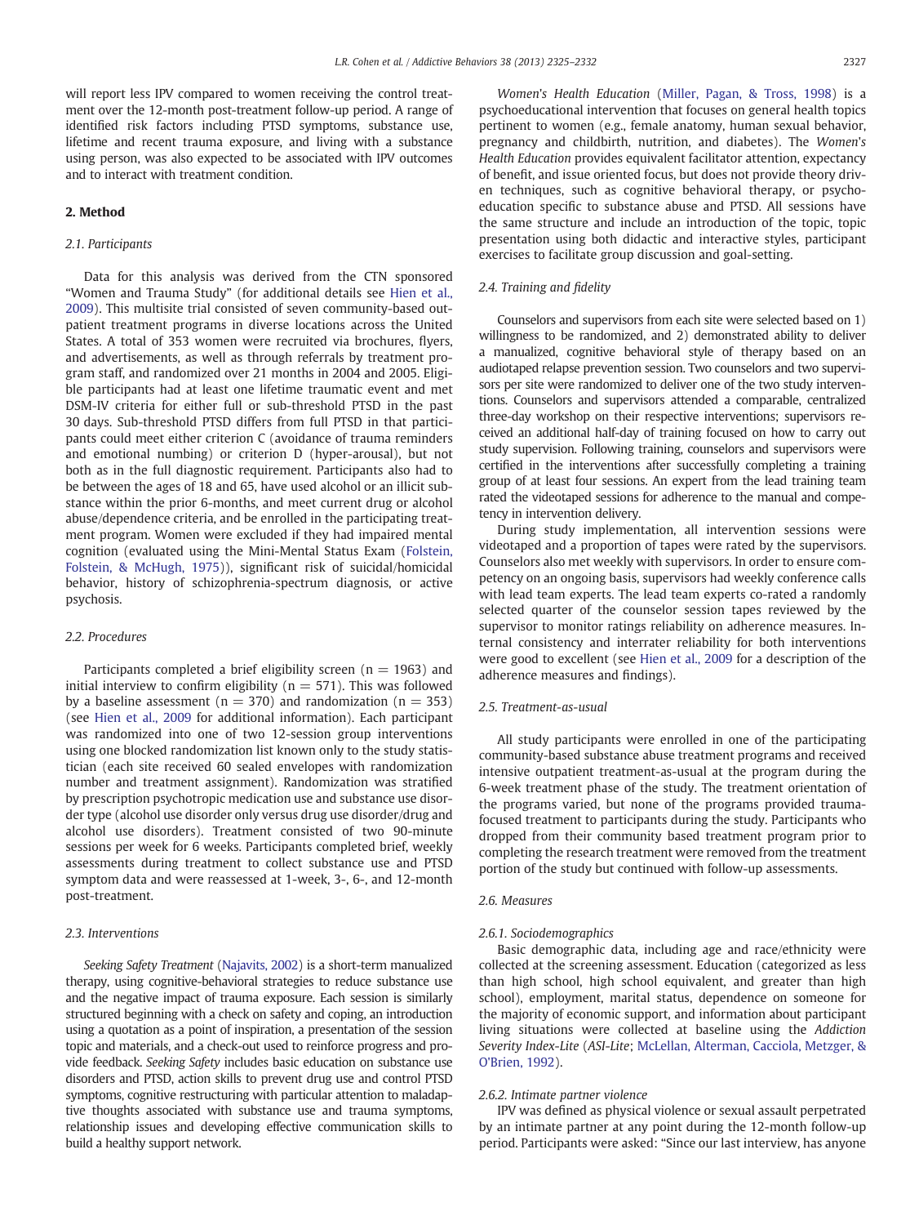will report less IPV compared to women receiving the control treatment over the 12-month post-treatment follow-up period. A range of identified risk factors including PTSD symptoms, substance use, lifetime and recent trauma exposure, and living with a substance using person, was also expected to be associated with IPV outcomes and to interact with treatment condition.

### 2. Method

# 2.1. Participants

Data for this analysis was derived from the CTN sponsored "Women and Trauma Study" (for additional details see [Hien et al.,](#page-7-0) [2009\)](#page-7-0). This multisite trial consisted of seven community-based outpatient treatment programs in diverse locations across the United States. A total of 353 women were recruited via brochures, flyers, and advertisements, as well as through referrals by treatment program staff, and randomized over 21 months in 2004 and 2005. Eligible participants had at least one lifetime traumatic event and met DSM-IV criteria for either full or sub-threshold PTSD in the past 30 days. Sub-threshold PTSD differs from full PTSD in that participants could meet either criterion C (avoidance of trauma reminders and emotional numbing) or criterion D (hyper-arousal), but not both as in the full diagnostic requirement. Participants also had to be between the ages of 18 and 65, have used alcohol or an illicit substance within the prior 6-months, and meet current drug or alcohol abuse/dependence criteria, and be enrolled in the participating treatment program. Women were excluded if they had impaired mental cognition (evaluated using the Mini-Mental Status Exam [\(Folstein,](#page-7-0) [Folstein, & McHugh, 1975](#page-7-0))), significant risk of suicidal/homicidal behavior, history of schizophrenia-spectrum diagnosis, or active psychosis.

# 2.2. Procedures

Participants completed a brief eligibility screen ( $n = 1963$ ) and initial interview to confirm eligibility ( $n = 571$ ). This was followed by a baseline assessment ( $n = 370$ ) and randomization ( $n = 353$ ) (see [Hien et al., 2009](#page-7-0) for additional information). Each participant was randomized into one of two 12-session group interventions using one blocked randomization list known only to the study statistician (each site received 60 sealed envelopes with randomization number and treatment assignment). Randomization was stratified by prescription psychotropic medication use and substance use disorder type (alcohol use disorder only versus drug use disorder/drug and alcohol use disorders). Treatment consisted of two 90-minute sessions per week for 6 weeks. Participants completed brief, weekly assessments during treatment to collect substance use and PTSD symptom data and were reassessed at 1-week, 3-, 6-, and 12-month post-treatment.

#### 2.3. Interventions

Seeking Safety Treatment [\(Najavits, 2002](#page-7-0)) is a short-term manualized therapy, using cognitive-behavioral strategies to reduce substance use and the negative impact of trauma exposure. Each session is similarly structured beginning with a check on safety and coping, an introduction using a quotation as a point of inspiration, a presentation of the session topic and materials, and a check-out used to reinforce progress and provide feedback. Seeking Safety includes basic education on substance use disorders and PTSD, action skills to prevent drug use and control PTSD symptoms, cognitive restructuring with particular attention to maladaptive thoughts associated with substance use and trauma symptoms, relationship issues and developing effective communication skills to build a healthy support network.

Women's Health Education ([Miller, Pagan, & Tross, 1998](#page-7-0)) is a psychoeducational intervention that focuses on general health topics pertinent to women (e.g., female anatomy, human sexual behavior, pregnancy and childbirth, nutrition, and diabetes). The Women's Health Education provides equivalent facilitator attention, expectancy of benefit, and issue oriented focus, but does not provide theory driven techniques, such as cognitive behavioral therapy, or psychoeducation specific to substance abuse and PTSD. All sessions have the same structure and include an introduction of the topic, topic presentation using both didactic and interactive styles, participant exercises to facilitate group discussion and goal-setting.

# 2.4. Training and fidelity

Counselors and supervisors from each site were selected based on 1) willingness to be randomized, and 2) demonstrated ability to deliver a manualized, cognitive behavioral style of therapy based on an audiotaped relapse prevention session. Two counselors and two supervisors per site were randomized to deliver one of the two study interventions. Counselors and supervisors attended a comparable, centralized three-day workshop on their respective interventions; supervisors received an additional half-day of training focused on how to carry out study supervision. Following training, counselors and supervisors were certified in the interventions after successfully completing a training group of at least four sessions. An expert from the lead training team rated the videotaped sessions for adherence to the manual and competency in intervention delivery.

During study implementation, all intervention sessions were videotaped and a proportion of tapes were rated by the supervisors. Counselors also met weekly with supervisors. In order to ensure competency on an ongoing basis, supervisors had weekly conference calls with lead team experts. The lead team experts co-rated a randomly selected quarter of the counselor session tapes reviewed by the supervisor to monitor ratings reliability on adherence measures. Internal consistency and interrater reliability for both interventions were good to excellent (see [Hien et al., 2009](#page-7-0) for a description of the adherence measures and findings).

#### 2.5. Treatment-as-usual

All study participants were enrolled in one of the participating community-based substance abuse treatment programs and received intensive outpatient treatment-as-usual at the program during the 6-week treatment phase of the study. The treatment orientation of the programs varied, but none of the programs provided traumafocused treatment to participants during the study. Participants who dropped from their community based treatment program prior to completing the research treatment were removed from the treatment portion of the study but continued with follow-up assessments.

# 2.6. Measures

#### 2.6.1. Sociodemographics

Basic demographic data, including age and race/ethnicity were collected at the screening assessment. Education (categorized as less than high school, high school equivalent, and greater than high school), employment, marital status, dependence on someone for the majority of economic support, and information about participant living situations were collected at baseline using the Addiction Severity Index-Lite (ASI-Lite; [McLellan, Alterman, Cacciola, Metzger, &](#page-7-0) [O'Brien, 1992\)](#page-7-0).

#### 2.6.2. Intimate partner violence

IPV was defined as physical violence or sexual assault perpetrated by an intimate partner at any point during the 12-month follow-up period. Participants were asked: "Since our last interview, has anyone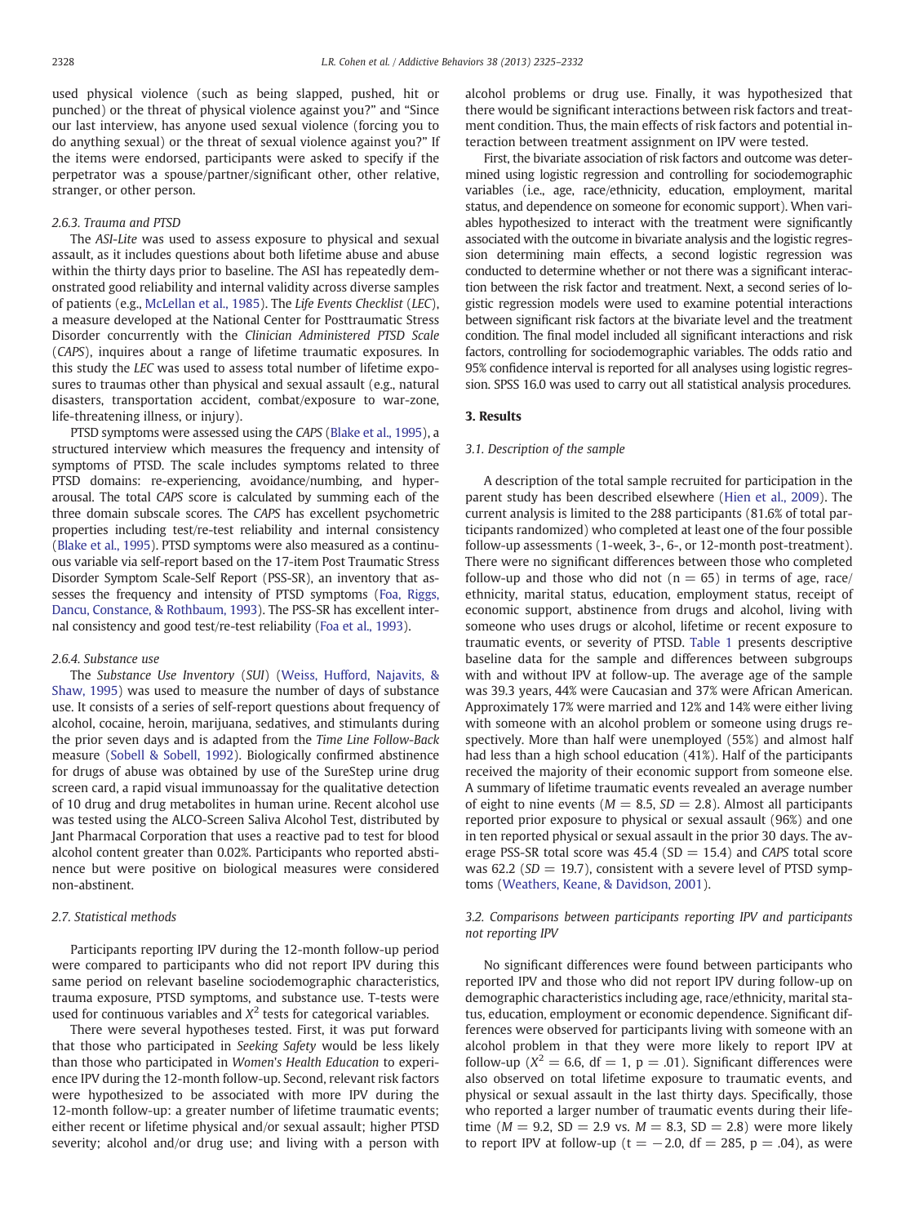used physical violence (such as being slapped, pushed, hit or punched) or the threat of physical violence against you?" and "Since our last interview, has anyone used sexual violence (forcing you to do anything sexual) or the threat of sexual violence against you?" If the items were endorsed, participants were asked to specify if the perpetrator was a spouse/partner/significant other, other relative, stranger, or other person.

# 2.6.3. Trauma and PTSD

The ASI-Lite was used to assess exposure to physical and sexual assault, as it includes questions about both lifetime abuse and abuse within the thirty days prior to baseline. The ASI has repeatedly demonstrated good reliability and internal validity across diverse samples of patients (e.g., [McLellan et al., 1985](#page-7-0)). The Life Events Checklist (LEC), a measure developed at the National Center for Posttraumatic Stress Disorder concurrently with the Clinician Administered PTSD Scale (CAPS), inquires about a range of lifetime traumatic exposures. In this study the LEC was used to assess total number of lifetime exposures to traumas other than physical and sexual assault (e.g., natural disasters, transportation accident, combat/exposure to war-zone, life-threatening illness, or injury).

PTSD symptoms were assessed using the CAPS [\(Blake et al., 1995\)](#page-6-0), a structured interview which measures the frequency and intensity of symptoms of PTSD. The scale includes symptoms related to three PTSD domains: re-experiencing, avoidance/numbing, and hyperarousal. The total CAPS score is calculated by summing each of the three domain subscale scores. The CAPS has excellent psychometric properties including test/re-test reliability and internal consistency [\(Blake et al., 1995\)](#page-6-0). PTSD symptoms were also measured as a continuous variable via self-report based on the 17-item Post Traumatic Stress Disorder Symptom Scale-Self Report (PSS-SR), an inventory that assesses the frequency and intensity of PTSD symptoms [\(Foa, Riggs,](#page-7-0) [Dancu, Constance, & Rothbaum, 1993\)](#page-7-0). The PSS-SR has excellent internal consistency and good test/re-test reliability ([Foa et al., 1993](#page-7-0)).

# 2.6.4. Substance use

The Substance Use Inventory (SUI) [\(Weiss, Hufford, Najavits, &](#page-7-0) [Shaw, 1995](#page-7-0)) was used to measure the number of days of substance use. It consists of a series of self-report questions about frequency of alcohol, cocaine, heroin, marijuana, sedatives, and stimulants during the prior seven days and is adapted from the Time Line Follow-Back measure ([Sobell & Sobell, 1992](#page-7-0)). Biologically confirmed abstinence for drugs of abuse was obtained by use of the SureStep urine drug screen card, a rapid visual immunoassay for the qualitative detection of 10 drug and drug metabolites in human urine. Recent alcohol use was tested using the ALCO-Screen Saliva Alcohol Test, distributed by Jant Pharmacal Corporation that uses a reactive pad to test for blood alcohol content greater than 0.02%. Participants who reported abstinence but were positive on biological measures were considered non-abstinent.

# 2.7. Statistical methods

Participants reporting IPV during the 12-month follow-up period were compared to participants who did not report IPV during this same period on relevant baseline sociodemographic characteristics, trauma exposure, PTSD symptoms, and substance use. T-tests were used for continuous variables and  $X^2$  tests for categorical variables.

There were several hypotheses tested. First, it was put forward that those who participated in Seeking Safety would be less likely than those who participated in Women's Health Education to experience IPV during the 12-month follow-up. Second, relevant risk factors were hypothesized to be associated with more IPV during the 12-month follow-up: a greater number of lifetime traumatic events; either recent or lifetime physical and/or sexual assault; higher PTSD severity; alcohol and/or drug use; and living with a person with alcohol problems or drug use. Finally, it was hypothesized that there would be significant interactions between risk factors and treatment condition. Thus, the main effects of risk factors and potential interaction between treatment assignment on IPV were tested.

First, the bivariate association of risk factors and outcome was determined using logistic regression and controlling for sociodemographic variables (i.e., age, race/ethnicity, education, employment, marital status, and dependence on someone for economic support). When variables hypothesized to interact with the treatment were significantly associated with the outcome in bivariate analysis and the logistic regression determining main effects, a second logistic regression was conducted to determine whether or not there was a significant interaction between the risk factor and treatment. Next, a second series of logistic regression models were used to examine potential interactions between significant risk factors at the bivariate level and the treatment condition. The final model included all significant interactions and risk factors, controlling for sociodemographic variables. The odds ratio and 95% confidence interval is reported for all analyses using logistic regression. SPSS 16.0 was used to carry out all statistical analysis procedures.

#### 3. Results

#### 3.1. Description of the sample

A description of the total sample recruited for participation in the parent study has been described elsewhere ([Hien et al., 2009](#page-7-0)). The current analysis is limited to the 288 participants (81.6% of total participants randomized) who completed at least one of the four possible follow-up assessments (1-week, 3-, 6-, or 12-month post-treatment). There were no significant differences between those who completed follow-up and those who did not ( $n = 65$ ) in terms of age, race/ ethnicity, marital status, education, employment status, receipt of economic support, abstinence from drugs and alcohol, living with someone who uses drugs or alcohol, lifetime or recent exposure to traumatic events, or severity of PTSD. [Table 1](#page-4-0) presents descriptive baseline data for the sample and differences between subgroups with and without IPV at follow-up. The average age of the sample was 39.3 years, 44% were Caucasian and 37% were African American. Approximately 17% were married and 12% and 14% were either living with someone with an alcohol problem or someone using drugs respectively. More than half were unemployed (55%) and almost half had less than a high school education (41%). Half of the participants received the majority of their economic support from someone else. A summary of lifetime traumatic events revealed an average number of eight to nine events ( $M = 8.5$ ,  $SD = 2.8$ ). Almost all participants reported prior exposure to physical or sexual assault (96%) and one in ten reported physical or sexual assault in the prior 30 days. The average PSS-SR total score was 45.4 (SD = 15.4) and CAPS total score was 62.2 ( $SD = 19.7$ ), consistent with a severe level of PTSD symptoms ([Weathers, Keane, & Davidson, 2001\)](#page-7-0).

# 3.2. Comparisons between participants reporting IPV and participants not reporting IPV

No significant differences were found between participants who reported IPV and those who did not report IPV during follow-up on demographic characteristics including age, race/ethnicity, marital status, education, employment or economic dependence. Significant differences were observed for participants living with someone with an alcohol problem in that they were more likely to report IPV at follow-up ( $X^2 = 6.6$ , df = 1, p = .01). Significant differences were also observed on total lifetime exposure to traumatic events, and physical or sexual assault in the last thirty days. Specifically, those who reported a larger number of traumatic events during their lifetime ( $M = 9.2$ , SD = 2.9 vs.  $M = 8.3$ , SD = 2.8) were more likely to report IPV at follow-up (t =  $-2.0$ , df = 285, p = .04), as were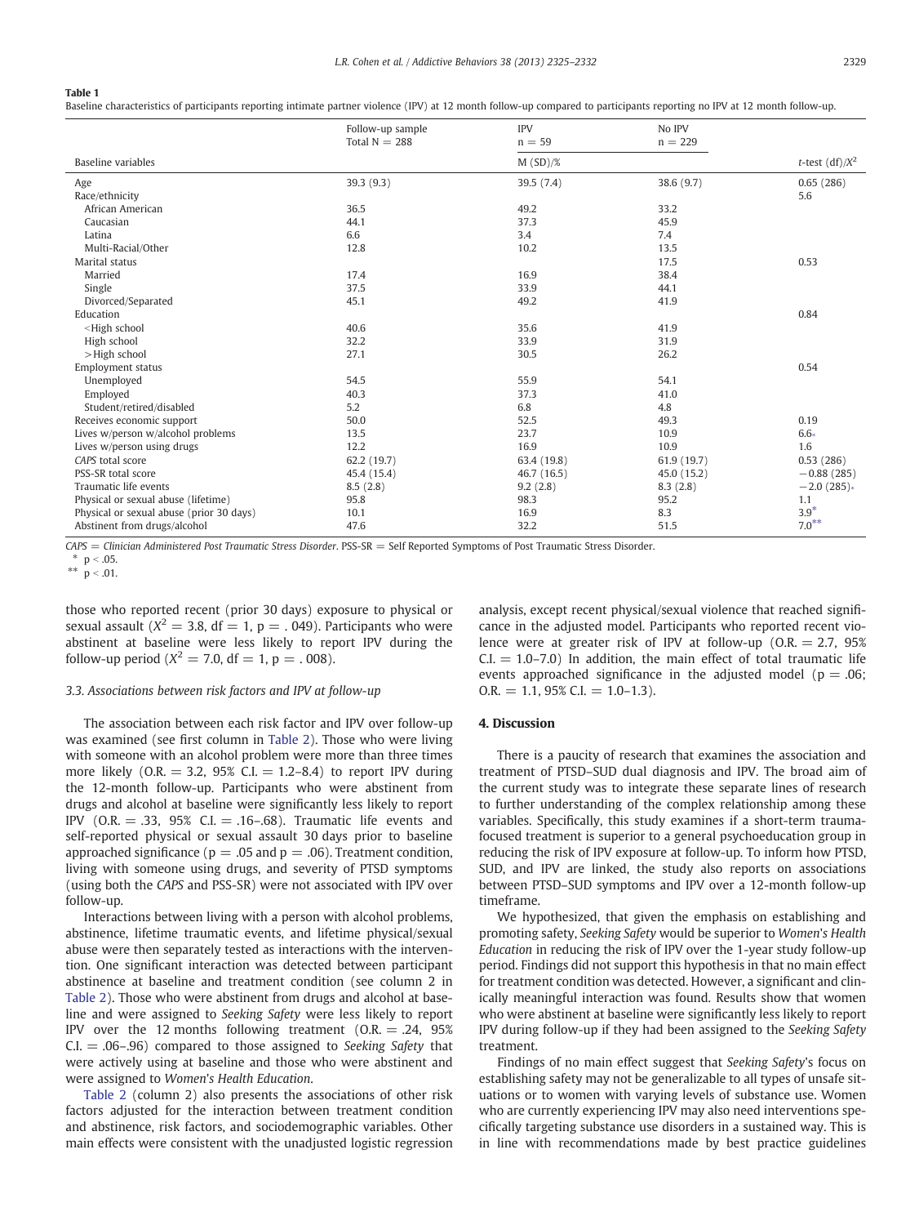#### <span id="page-4-0"></span>Table 1

Baseline characteristics of participants reporting intimate partner violence (IPV) at 12 month follow-up compared to participants reporting no IPV at 12 month follow-up.

|                                                                                | Follow-up sample | <b>IPV</b>  | No IPV      |                   |
|--------------------------------------------------------------------------------|------------------|-------------|-------------|-------------------|
|                                                                                | Total $N = 288$  | $n = 59$    | $n = 229$   |                   |
| Baseline variables                                                             |                  | $M(SD)/\%$  |             | t-test $(df)/X^2$ |
| Age                                                                            | 39.3(9.3)        | 39.5 (7.4)  | 38.6 (9.7)  | 0.65(286)         |
| Race/ethnicity                                                                 |                  |             |             | 5.6               |
| African American                                                               | 36.5             | 49.2        | 33.2        |                   |
| Caucasian                                                                      | 44.1             | 37.3        | 45.9        |                   |
| Latina                                                                         | 6.6              | 3.4         | 7.4         |                   |
| Multi-Racial/Other                                                             | 12.8             | 10.2        | 13.5        |                   |
| Marital status                                                                 |                  |             | 17.5        | 0.53              |
| Married                                                                        | 17.4             | 16.9        | 38.4        |                   |
| Single                                                                         | 37.5             | 33.9        | 44.1        |                   |
| Divorced/Separated                                                             | 45.1             | 49.2        | 41.9        |                   |
| Education                                                                      |                  |             |             | 0.84              |
| <high school<="" td=""><td>40.6</td><td>35.6</td><td>41.9</td><td></td></high> | 40.6             | 35.6        | 41.9        |                   |
| High school                                                                    | 32.2             | 33.9        | 31.9        |                   |
| $>$ High school                                                                | 27.1             | 30.5        | 26.2        |                   |
| Employment status                                                              |                  |             |             | 0.54              |
| Unemployed                                                                     | 54.5             | 55.9        | 54.1        |                   |
| Employed                                                                       | 40.3             | 37.3        | 41.0        |                   |
| Student/retired/disabled                                                       | 5.2              | 6.8         | 4.8         |                   |
| Receives economic support                                                      | 50.0             | 52.5        | 49.3        | 0.19              |
| Lives w/person w/alcohol problems                                              | 13.5             | 23.7        | 10.9        | $6.6*$            |
| Lives w/person using drugs                                                     | 12.2             | 16.9        | 10.9        | 1.6               |
| CAPS total score                                                               | 62.2 (19.7)      | 63.4 (19.8) | 61.9 (19.7) | 0.53(286)         |
| PSS-SR total score                                                             | 45.4 (15.4)      | 46.7(16.5)  | 45.0 (15.2) | $-0.88(285)$      |
| Traumatic life events                                                          | 8.5(2.8)         | 9.2(2.8)    | 8.3(2.8)    | $-2.0(285)*$      |
| Physical or sexual abuse (lifetime)                                            | 95.8             | 98.3        | 95.2        | 1.1               |
| Physical or sexual abuse (prior 30 days)                                       | 10.1             | 16.9        | 8.3         | $3.9*$            |
| Abstinent from drugs/alcohol                                                   | 47.6             | 32.2        | 51.5        | $7.0***$          |

CAPS = Clinician Administered Post Traumatic Stress Disorder. PSS-SR = Self Reported Symptoms of Post Traumatic Stress Disorder.

 $p < .05$ .

\*\*  $p < .01$ .

those who reported recent (prior 30 days) exposure to physical or sexual assault ( $X^2 = 3.8$ , df = 1, p = . 049). Participants who were abstinent at baseline were less likely to report IPV during the follow-up period ( $X^2 = 7.0$ , df = 1, p = . 008).

#### 3.3. Associations between risk factors and IPV at follow-up

The association between each risk factor and IPV over follow-up was examined (see first column in [Table 2\)](#page-5-0). Those who were living with someone with an alcohol problem were more than three times more likely  $(0,R = 3.2, 95\% C.I. = 1.2-8.4)$  to report IPV during the 12-month follow-up. Participants who were abstinent from drugs and alcohol at baseline were significantly less likely to report IPV  $(0.R. = .33, 95\% C.I. = .16-.68)$ . Traumatic life events and self-reported physical or sexual assault 30 days prior to baseline approached significance ( $p = .05$  and  $p = .06$ ). Treatment condition, living with someone using drugs, and severity of PTSD symptoms (using both the CAPS and PSS-SR) were not associated with IPV over follow-up.

Interactions between living with a person with alcohol problems, abstinence, lifetime traumatic events, and lifetime physical/sexual abuse were then separately tested as interactions with the intervention. One significant interaction was detected between participant abstinence at baseline and treatment condition (see column 2 in [Table 2](#page-5-0)). Those who were abstinent from drugs and alcohol at baseline and were assigned to Seeking Safety were less likely to report IPV over the 12 months following treatment (O.R.  $=$  .24, 95%  $CL = .06-.96$ ) compared to those assigned to Seeking Safety that were actively using at baseline and those who were abstinent and were assigned to Women's Health Education.

[Table 2](#page-5-0) (column 2) also presents the associations of other risk factors adjusted for the interaction between treatment condition and abstinence, risk factors, and sociodemographic variables. Other main effects were consistent with the unadjusted logistic regression

analysis, except recent physical/sexual violence that reached significance in the adjusted model. Participants who reported recent violence were at greater risk of IPV at follow-up (O.R.  $= 2.7, 95\%$  $CL = 1.0-7.0$ ) In addition, the main effect of total traumatic life events approached significance in the adjusted model ( $p = .06$ ;  $O.R. = 1.1, 95\% C.I. = 1.0-1.3$ .

#### 4. Discussion

There is a paucity of research that examines the association and treatment of PTSD–SUD dual diagnosis and IPV. The broad aim of the current study was to integrate these separate lines of research to further understanding of the complex relationship among these variables. Specifically, this study examines if a short-term traumafocused treatment is superior to a general psychoeducation group in reducing the risk of IPV exposure at follow-up. To inform how PTSD, SUD, and IPV are linked, the study also reports on associations between PTSD–SUD symptoms and IPV over a 12-month follow-up timeframe.

We hypothesized, that given the emphasis on establishing and promoting safety, Seeking Safety would be superior to Women's Health Education in reducing the risk of IPV over the 1-year study follow-up period. Findings did not support this hypothesis in that no main effect for treatment condition was detected. However, a significant and clinically meaningful interaction was found. Results show that women who were abstinent at baseline were significantly less likely to report IPV during follow-up if they had been assigned to the Seeking Safety treatment.

Findings of no main effect suggest that Seeking Safety's focus on establishing safety may not be generalizable to all types of unsafe situations or to women with varying levels of substance use. Women who are currently experiencing IPV may also need interventions specifically targeting substance use disorders in a sustained way. This is in line with recommendations made by best practice guidelines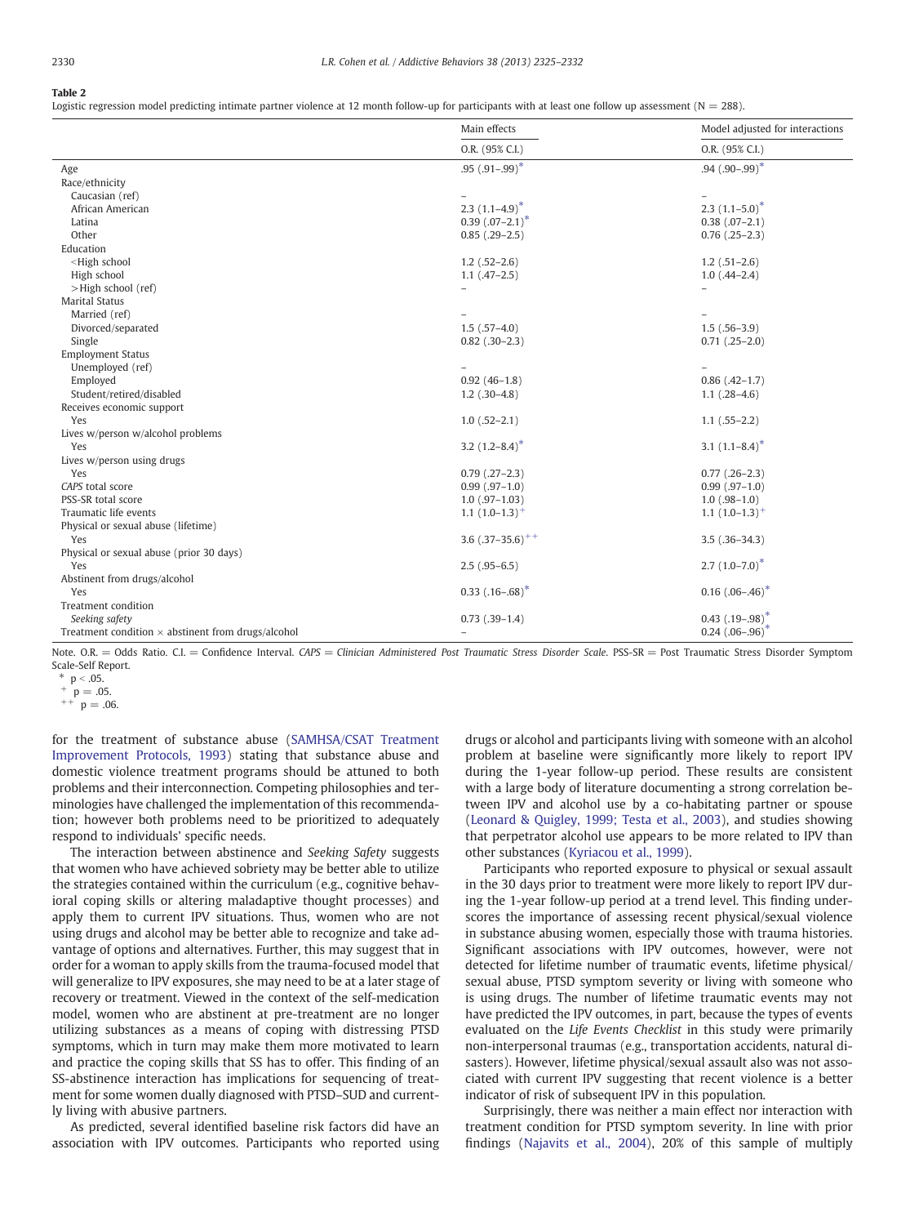#### <span id="page-5-0"></span>Table 2

Logistic regression model predicting intimate partner violence at 12 month follow-up for participants with at least one follow up assessment ( $N = 288$ ).

|                                                                                                     | Main effects                  | Model adjusted for interactions |
|-----------------------------------------------------------------------------------------------------|-------------------------------|---------------------------------|
|                                                                                                     | O.R. (95% C.I.)               | O.R. (95% C.I.)                 |
| Age                                                                                                 | $.95(.91-.99)^*$              | $.94(.90-.99)^*$                |
| Race/ethnicity                                                                                      |                               |                                 |
| Caucasian (ref)                                                                                     |                               |                                 |
| African American                                                                                    | 2.3 $(1.1-4.9)^*$             | 2.3 $(1.1 - 5.0)^*$             |
| Latina                                                                                              | $0.39(.07 - 2.1)^*$           | $0.38(.07 - 2.1)$               |
| Other                                                                                               | $0.85$ $(.29-2.5)$            | $0.76$ $(.25-2.3)$              |
| Education                                                                                           |                               |                                 |
| <high school<="" td=""><td><math>1.2</math> (.52-2.6)</td><td><math>1.2(.51-2.6)</math></td></high> | $1.2$ (.52-2.6)               | $1.2(.51-2.6)$                  |
| High school                                                                                         | $1.1$ $(.47-2.5)$             | $1.0(.44-2.4)$                  |
| >High school (ref)                                                                                  | $\overline{\phantom{a}}$      |                                 |
| <b>Marital Status</b>                                                                               |                               |                                 |
| Married (ref)                                                                                       |                               |                                 |
| Divorced/separated                                                                                  | $1.5(.57-4.0)$                | $1.5(.56-3.9)$                  |
| Single                                                                                              | $0.82$ (.30-2.3)              | $0.71$ $(.25-2.0)$              |
| <b>Employment Status</b>                                                                            |                               |                                 |
| Unemployed (ref)                                                                                    |                               |                                 |
| Employed                                                                                            | $0.92(46-1.8)$                | $0.86(.42-1.7)$                 |
| Student/retired/disabled                                                                            | $1.2$ (.30-4.8)               | $1.1(.28-4.6)$                  |
| Receives economic support                                                                           |                               |                                 |
| Yes                                                                                                 | $1.0$ $(.52-2.1)$             | $1.1$ $(.55-2.2)$               |
| Lives w/person w/alcohol problems                                                                   |                               |                                 |
| Yes                                                                                                 | 3.2 $(1.2 - 8.4)^*$           | 3.1 $(1.1 - 8.4)^*$             |
| Lives w/person using drugs                                                                          |                               |                                 |
| Yes                                                                                                 | $0.79$ $(.27-2.3)$            | $0.77$ $(.26-2.3)$              |
| CAPS total score                                                                                    | $0.99$ $(.97-1.0)$            | $0.99$ $(.97-1.0)$              |
| PSS-SR total score                                                                                  | $1.0$ (.97-1.03)              | $1.0(.98-1.0)$                  |
| Traumatic life events                                                                               | $1.1(1.0-1.3)^+$              | $1.1(1.0-1.3)^+$                |
| Physical or sexual abuse (lifetime)                                                                 |                               |                                 |
| Yes                                                                                                 | $3.6(.37-35.6)^{++}$          | $3.5(.36-34.3)$                 |
| Physical or sexual abuse (prior 30 days)                                                            |                               |                                 |
| Yes                                                                                                 | $2.5(.95-6.5)$                | 2.7 $(1.0-7.0)^*$               |
| Abstinent from drugs/alcohol                                                                        |                               |                                 |
| Yes                                                                                                 | $0.33$ (.16–.68) <sup>*</sup> | $0.16$ (.06-.46) <sup>*</sup>   |
| Treatment condition                                                                                 |                               |                                 |
| Seeking safety                                                                                      | $0.73$ $(.39-1.4)$            | $0.43$ (.19 - .98) <sup>*</sup> |
| Treatment condition $\times$ abstinent from drugs/alcohol                                           | $\overline{\phantom{a}}$      | $0.24$ (.06–.96) <sup>*</sup>   |

Note. O.R. = Odds Ratio. C.I. = Confidence Interval. CAPS = Clinician Administered Post Traumatic Stress Disorder Scale. PSS-SR = Post Traumatic Stress Disorder Symptom Scale-Self Report.

 $p < .05$ .

 $p = .05$ .

 $+$   $+$  p = .06.

for the treatment of substance abuse ([SAMHSA/CSAT Treatment](#page-7-0) [Improvement Protocols, 1993\)](#page-7-0) stating that substance abuse and domestic violence treatment programs should be attuned to both problems and their interconnection. Competing philosophies and terminologies have challenged the implementation of this recommendation; however both problems need to be prioritized to adequately respond to individuals' specific needs.

The interaction between abstinence and Seeking Safety suggests that women who have achieved sobriety may be better able to utilize the strategies contained within the curriculum (e.g., cognitive behavioral coping skills or altering maladaptive thought processes) and apply them to current IPV situations. Thus, women who are not using drugs and alcohol may be better able to recognize and take advantage of options and alternatives. Further, this may suggest that in order for a woman to apply skills from the trauma-focused model that will generalize to IPV exposures, she may need to be at a later stage of recovery or treatment. Viewed in the context of the self-medication model, women who are abstinent at pre-treatment are no longer utilizing substances as a means of coping with distressing PTSD symptoms, which in turn may make them more motivated to learn and practice the coping skills that SS has to offer. This finding of an SS-abstinence interaction has implications for sequencing of treatment for some women dually diagnosed with PTSD–SUD and currently living with abusive partners.

As predicted, several identified baseline risk factors did have an association with IPV outcomes. Participants who reported using drugs or alcohol and participants living with someone with an alcohol problem at baseline were significantly more likely to report IPV during the 1-year follow-up period. These results are consistent with a large body of literature documenting a strong correlation between IPV and alcohol use by a co-habitating partner or spouse [\(Leonard & Quigley, 1999; Testa et al., 2003](#page-7-0)), and studies showing that perpetrator alcohol use appears to be more related to IPV than other substances ([Kyriacou et al., 1999](#page-7-0)).

Participants who reported exposure to physical or sexual assault in the 30 days prior to treatment were more likely to report IPV during the 1-year follow-up period at a trend level. This finding underscores the importance of assessing recent physical/sexual violence in substance abusing women, especially those with trauma histories. Significant associations with IPV outcomes, however, were not detected for lifetime number of traumatic events, lifetime physical/ sexual abuse, PTSD symptom severity or living with someone who is using drugs. The number of lifetime traumatic events may not have predicted the IPV outcomes, in part, because the types of events evaluated on the Life Events Checklist in this study were primarily non-interpersonal traumas (e.g., transportation accidents, natural disasters). However, lifetime physical/sexual assault also was not associated with current IPV suggesting that recent violence is a better indicator of risk of subsequent IPV in this population.

Surprisingly, there was neither a main effect nor interaction with treatment condition for PTSD symptom severity. In line with prior findings ([Najavits et al., 2004](#page-7-0)), 20% of this sample of multiply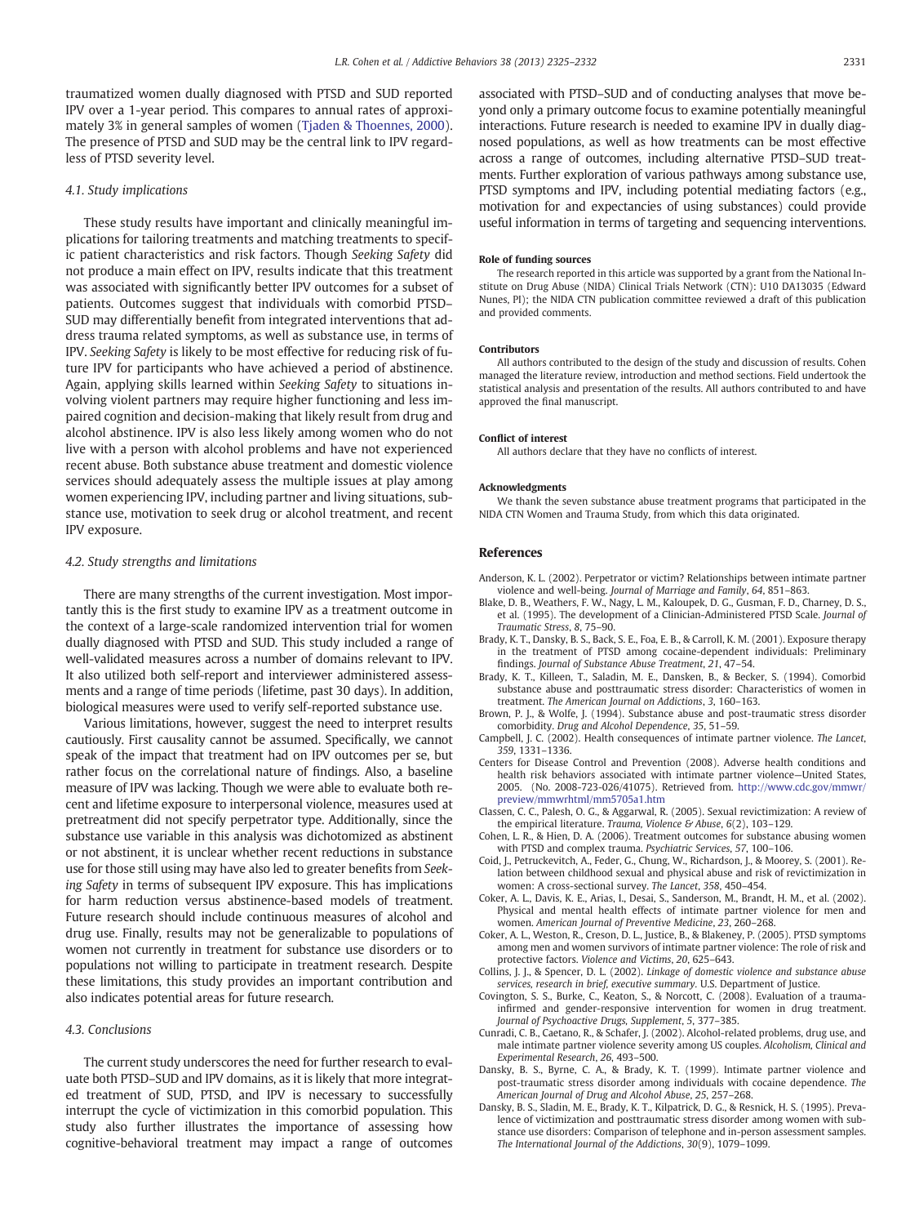<span id="page-6-0"></span>traumatized women dually diagnosed with PTSD and SUD reported IPV over a 1-year period. This compares to annual rates of approximately 3% in general samples of women ([Tjaden & Thoennes, 2000](#page-7-0)). The presence of PTSD and SUD may be the central link to IPV regardless of PTSD severity level.

#### 4.1. Study implications

These study results have important and clinically meaningful implications for tailoring treatments and matching treatments to specific patient characteristics and risk factors. Though Seeking Safety did not produce a main effect on IPV, results indicate that this treatment was associated with significantly better IPV outcomes for a subset of patients. Outcomes suggest that individuals with comorbid PTSD– SUD may differentially benefit from integrated interventions that address trauma related symptoms, as well as substance use, in terms of IPV. Seeking Safety is likely to be most effective for reducing risk of future IPV for participants who have achieved a period of abstinence. Again, applying skills learned within Seeking Safety to situations involving violent partners may require higher functioning and less impaired cognition and decision-making that likely result from drug and alcohol abstinence. IPV is also less likely among women who do not live with a person with alcohol problems and have not experienced recent abuse. Both substance abuse treatment and domestic violence services should adequately assess the multiple issues at play among women experiencing IPV, including partner and living situations, substance use, motivation to seek drug or alcohol treatment, and recent IPV exposure.

#### 4.2. Study strengths and limitations

There are many strengths of the current investigation. Most importantly this is the first study to examine IPV as a treatment outcome in the context of a large-scale randomized intervention trial for women dually diagnosed with PTSD and SUD. This study included a range of well-validated measures across a number of domains relevant to IPV. It also utilized both self-report and interviewer administered assessments and a range of time periods (lifetime, past 30 days). In addition, biological measures were used to verify self-reported substance use.

Various limitations, however, suggest the need to interpret results cautiously. First causality cannot be assumed. Specifically, we cannot speak of the impact that treatment had on IPV outcomes per se, but rather focus on the correlational nature of findings. Also, a baseline measure of IPV was lacking. Though we were able to evaluate both recent and lifetime exposure to interpersonal violence, measures used at pretreatment did not specify perpetrator type. Additionally, since the substance use variable in this analysis was dichotomized as abstinent or not abstinent, it is unclear whether recent reductions in substance use for those still using may have also led to greater benefits from Seeking Safety in terms of subsequent IPV exposure. This has implications for harm reduction versus abstinence-based models of treatment. Future research should include continuous measures of alcohol and drug use. Finally, results may not be generalizable to populations of women not currently in treatment for substance use disorders or to populations not willing to participate in treatment research. Despite these limitations, this study provides an important contribution and also indicates potential areas for future research.

# 4.3. Conclusions

The current study underscores the need for further research to evaluate both PTSD–SUD and IPV domains, as it is likely that more integrated treatment of SUD, PTSD, and IPV is necessary to successfully interrupt the cycle of victimization in this comorbid population. This study also further illustrates the importance of assessing how cognitive-behavioral treatment may impact a range of outcomes associated with PTSD–SUD and of conducting analyses that move beyond only a primary outcome focus to examine potentially meaningful interactions. Future research is needed to examine IPV in dually diagnosed populations, as well as how treatments can be most effective across a range of outcomes, including alternative PTSD–SUD treatments. Further exploration of various pathways among substance use, PTSD symptoms and IPV, including potential mediating factors (e.g., motivation for and expectancies of using substances) could provide useful information in terms of targeting and sequencing interventions.

#### Role of funding sources

The research reported in this article was supported by a grant from the National Institute on Drug Abuse (NIDA) Clinical Trials Network (CTN): U10 DA13035 (Edward Nunes, PI); the NIDA CTN publication committee reviewed a draft of this publication and provided comments.

#### Contributors

All authors contributed to the design of the study and discussion of results. Cohen managed the literature review, introduction and method sections. Field undertook the statistical analysis and presentation of the results. All authors contributed to and have approved the final manuscript.

#### Conflict of interest

All authors declare that they have no conflicts of interest.

#### Acknowledgments

We thank the seven substance abuse treatment programs that participated in the NIDA CTN Women and Trauma Study, from which this data originated.

#### References

- Anderson, K. L. (2002). Perpetrator or victim? Relationships between intimate partner violence and well-being. Journal of Marriage and Family, 64, 851–863.
- Blake, D. B., Weathers, F. W., Nagy, L. M., Kaloupek, D. G., Gusman, F. D., Charney, D. S., et al. (1995). The development of a Clinician-Administered PTSD Scale. Journal of Traumatic Stress, 8, 75–90.
- Brady, K. T., Dansky, B. S., Back, S. E., Foa, E. B., & Carroll, K. M. (2001). Exposure therapy in the treatment of PTSD among cocaine-dependent individuals: Preliminary findings. Journal of Substance Abuse Treatment, 21, 47–54.
- Brady, K. T., Killeen, T., Saladin, M. E., Dansken, B., & Becker, S. (1994). Comorbid substance abuse and posttraumatic stress disorder: Characteristics of women in treatment. The American Journal on Addictions, 3, 160–163.
- Brown, P. J., & Wolfe, J. (1994). Substance abuse and post-traumatic stress disorder comorbidity. Drug and Alcohol Dependence, 35, 51–59.
- Campbell, J. C. (2002). Health consequences of intimate partner violence. The Lancet, 359, 1331–1336.
- Centers for Disease Control and Prevention (2008). Adverse health conditions and health risk behaviors associated with intimate partner violence—United States, 2005. (No. 2008-723-026/41075). Retrieved from. [http://www.cdc.gov/mmwr/](http://www.cdc.gov/mmwr/preview/mmwrhtml/mm5705a1.htm) [preview/mmwrhtml/mm5705a1.htm](http://www.cdc.gov/mmwr/preview/mmwrhtml/mm5705a1.htm)
- Classen, C. C., Palesh, O. G., & Aggarwal, R. (2005). Sexual revictimization: A review of the empirical literature. Trauma, Violence & Abuse, 6(2), 103-129.
- Cohen, L. R., & Hien, D. A. (2006). Treatment outcomes for substance abusing women with PTSD and complex trauma. Psychiatric Services, 57, 100–106.
- Coid, J., Petruckevitch, A., Feder, G., Chung, W., Richardson, J., & Moorey, S. (2001). Relation between childhood sexual and physical abuse and risk of revictimization in women: A cross-sectional survey. The Lancet, 358, 450–454.
- Coker, A. L., Davis, K. E., Arias, I., Desai, S., Sanderson, M., Brandt, H. M., et al. (2002). Physical and mental health effects of intimate partner violence for men and women. American Journal of Preventive Medicine, 23, 260–268.
- Coker, A. L., Weston, R., Creson, D. L., Justice, B., & Blakeney, P. (2005). PTSD symptoms among men and women survivors of intimate partner violence: The role of risk and protective factors. Violence and Victims, 20, 625–643.
- Collins, J. J., & Spencer, D. L. (2002). Linkage of domestic violence and substance abuse services, research in brief, executive summary. U.S. Department of Justice.
- Covington, S. S., Burke, C., Keaton, S., & Norcott, C. (2008). Evaluation of a traumainfirmed and gender-responsive intervention for women in drug treatment. Journal of Psychoactive Drugs, Supplement, 5, 377–385.
- Cunradi, C. B., Caetano, R., & Schafer, J. (2002). Alcohol-related problems, drug use, and male intimate partner violence severity among US couples. Alcoholism, Clinical and Experimental Research, 26, 493–500.
- Dansky, B. S., Byrne, C. A., & Brady, K. T. (1999). Intimate partner violence and post-traumatic stress disorder among individuals with cocaine dependence. The American Journal of Drug and Alcohol Abuse, 25, 257–268.
- Dansky, B. S., Sladin, M. E., Brady, K. T., Kilpatrick, D. G., & Resnick, H. S. (1995). Prevalence of victimization and posttraumatic stress disorder among women with substance use disorders: Comparison of telephone and in-person assessment samples. The International Journal of the Addictions, 30(9), 1079–1099.